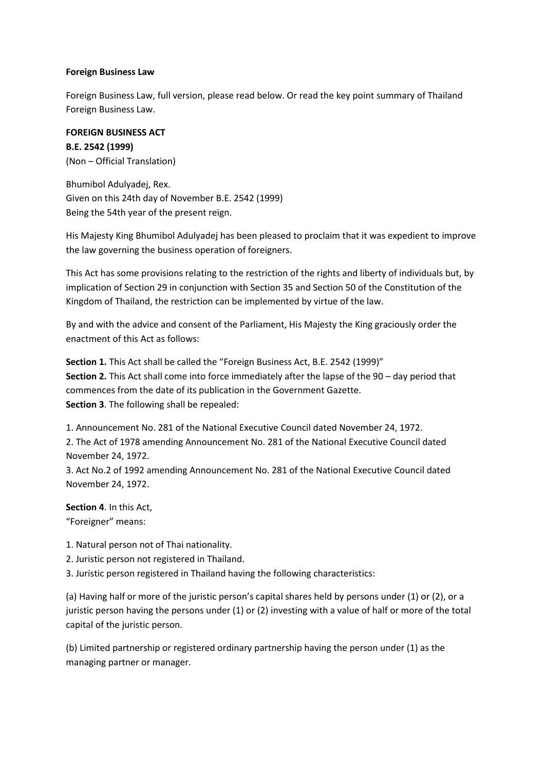### **Foreign Business Law**

Foreign Business Law, full version, please read below. Or read the key point summary of Thailand Foreign Business Law.

# **FOREIGN BUSINESS ACT B.E. 2542 (1999)** (Non – Official Translation)

Bhumibol Adulyadej, Rex. Given on this 24th day of November B.E. 2542 (1999) Being the 54th year of the present reign.

His Majesty King Bhumibol Adulyadej has been pleased to proclaim that it was expedient to improve the law governing the business operation of foreigners.

This Act has some provisions relating to the restriction of the rights and liberty of individuals but, by implication of Section 29 in conjunction with Section 35 and Section 50 of the Constitution of the Kingdom of Thailand, the restriction can be implemented by virtue of the law.

By and with the advice and consent of the Parliament, His Majesty the King graciously order the enactment of this Act as follows:

**Section 1.** This Act shall be called the "Foreign Business Act, B.E. 2542 (1999)" **Section 2.** This Act shall come into force immediately after the lapse of the 90 – day period that commences from the date of its publication in the Government Gazette. **Section 3**. The following shall be repealed:

1. Announcement No. 281 of the National Executive Council dated November 24, 1972.

2. The Act of 1978 amending Announcement No. 281 of the National Executive Council dated November 24, 1972.

3. Act No.2 of 1992 amending Announcement No. 281 of the National Executive Council dated November 24, 1972.

**Section 4**. In this Act, "Foreigner" means:

1. Natural person not of Thai nationality.

2. Juristic person not registered in Thailand.

3. Juristic person registered in Thailand having the following characteristics:

(a) Having half or more of the juristic person's capital shares held by persons under (1) or (2), or a juristic person having the persons under (1) or (2) investing with a value of half or more of the total capital of the juristic person.

(b) Limited partnership or registered ordinary partnership having the person under (1) as the managing partner or manager.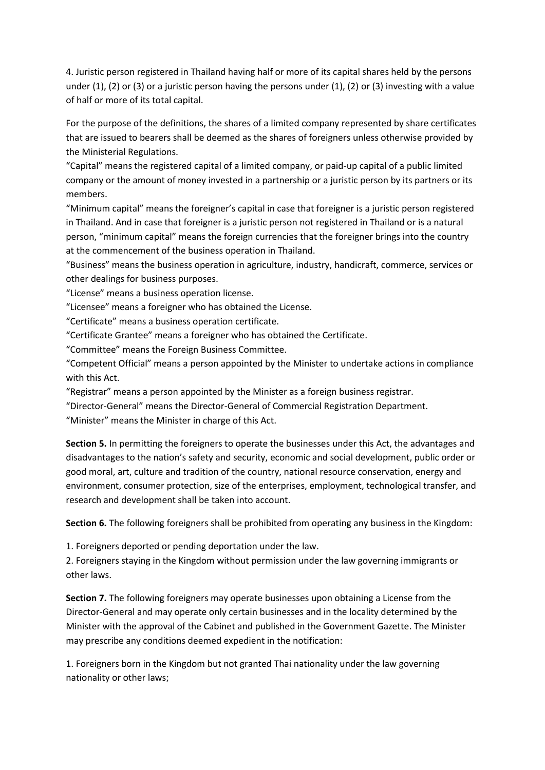4. Juristic person registered in Thailand having half or more of its capital shares held by the persons under (1), (2) or (3) or a juristic person having the persons under (1), (2) or (3) investing with a value of half or more of its total capital.

For the purpose of the definitions, the shares of a limited company represented by share certificates that are issued to bearers shall be deemed as the shares of foreigners unless otherwise provided by the Ministerial Regulations.

"Capital" means the registered capital of a limited company, or paid-up capital of a public limited company or the amount of money invested in a partnership or a juristic person by its partners or its members.

"Minimum capital" means the foreigner's capital in case that foreigner is a juristic person registered in Thailand. And in case that foreigner is a juristic person not registered in Thailand or is a natural person, "minimum capital" means the foreign currencies that the foreigner brings into the country at the commencement of the business operation in Thailand.

"Business" means the business operation in agriculture, industry, handicraft, commerce, services or other dealings for business purposes.

"License" means a business operation license.

"Licensee" means a foreigner who has obtained the License.

"Certificate" means a business operation certificate.

"Certificate Grantee" means a foreigner who has obtained the Certificate.

"Committee" means the Foreign Business Committee.

"Competent Official" means a person appointed by the Minister to undertake actions in compliance with this Act.

"Registrar" means a person appointed by the Minister as a foreign business registrar.

"Director-General" means the Director-General of Commercial Registration Department.

"Minister" means the Minister in charge of this Act.

**Section 5.** In permitting the foreigners to operate the businesses under this Act, the advantages and disadvantages to the nation's safety and security, economic and social development, public order or good moral, art, culture and tradition of the country, national resource conservation, energy and environment, consumer protection, size of the enterprises, employment, technological transfer, and research and development shall be taken into account.

**Section 6.** The following foreigners shall be prohibited from operating any business in the Kingdom:

1. Foreigners deported or pending deportation under the law.

2. Foreigners staying in the Kingdom without permission under the law governing immigrants or other laws.

**Section 7.** The following foreigners may operate businesses upon obtaining a License from the Director-General and may operate only certain businesses and in the locality determined by the Minister with the approval of the Cabinet and published in the Government Gazette. The Minister may prescribe any conditions deemed expedient in the notification:

1. Foreigners born in the Kingdom but not granted Thai nationality under the law governing nationality or other laws;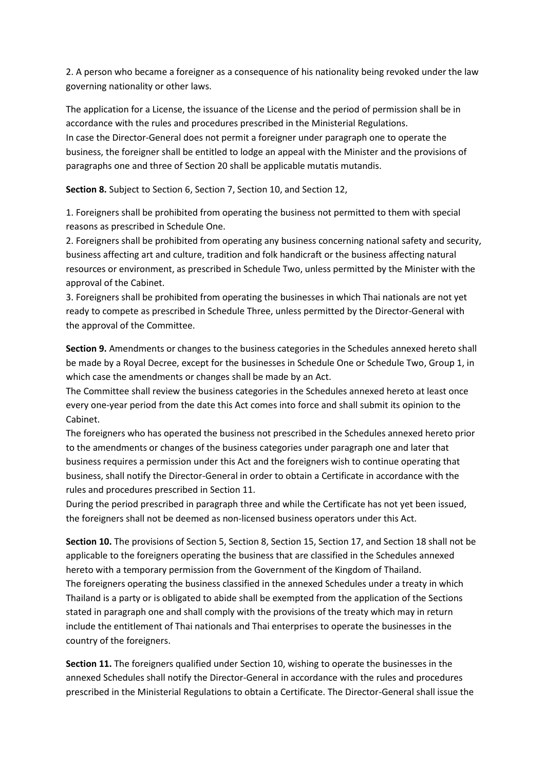2. A person who became a foreigner as a consequence of his nationality being revoked under the law governing nationality or other laws.

The application for a License, the issuance of the License and the period of permission shall be in accordance with the rules and procedures prescribed in the Ministerial Regulations. In case the Director-General does not permit a foreigner under paragraph one to operate the business, the foreigner shall be entitled to lodge an appeal with the Minister and the provisions of paragraphs one and three of Section 20 shall be applicable mutatis mutandis.

**Section 8.** Subject to Section 6, Section 7, Section 10, and Section 12,

1. Foreigners shall be prohibited from operating the business not permitted to them with special reasons as prescribed in Schedule One.

2. Foreigners shall be prohibited from operating any business concerning national safety and security, business affecting art and culture, tradition and folk handicraft or the business affecting natural resources or environment, as prescribed in Schedule Two, unless permitted by the Minister with the approval of the Cabinet.

3. Foreigners shall be prohibited from operating the businesses in which Thai nationals are not yet ready to compete as prescribed in Schedule Three, unless permitted by the Director-General with the approval of the Committee.

**Section 9.** Amendments or changes to the business categories in the Schedules annexed hereto shall be made by a Royal Decree, except for the businesses in Schedule One or Schedule Two, Group 1, in which case the amendments or changes shall be made by an Act.

The Committee shall review the business categories in the Schedules annexed hereto at least once every one-year period from the date this Act comes into force and shall submit its opinion to the Cabinet.

The foreigners who has operated the business not prescribed in the Schedules annexed hereto prior to the amendments or changes of the business categories under paragraph one and later that business requires a permission under this Act and the foreigners wish to continue operating that business, shall notify the Director-General in order to obtain a Certificate in accordance with the rules and procedures prescribed in Section 11.

During the period prescribed in paragraph three and while the Certificate has not yet been issued, the foreigners shall not be deemed as non-licensed business operators under this Act.

**Section 10.** The provisions of Section 5, Section 8, Section 15, Section 17, and Section 18 shall not be applicable to the foreigners operating the business that are classified in the Schedules annexed hereto with a temporary permission from the Government of the Kingdom of Thailand. The foreigners operating the business classified in the annexed Schedules under a treaty in which Thailand is a party or is obligated to abide shall be exempted from the application of the Sections stated in paragraph one and shall comply with the provisions of the treaty which may in return include the entitlement of Thai nationals and Thai enterprises to operate the businesses in the country of the foreigners.

**Section 11.** The foreigners qualified under Section 10, wishing to operate the businesses in the annexed Schedules shall notify the Director-General in accordance with the rules and procedures prescribed in the Ministerial Regulations to obtain a Certificate. The Director-General shall issue the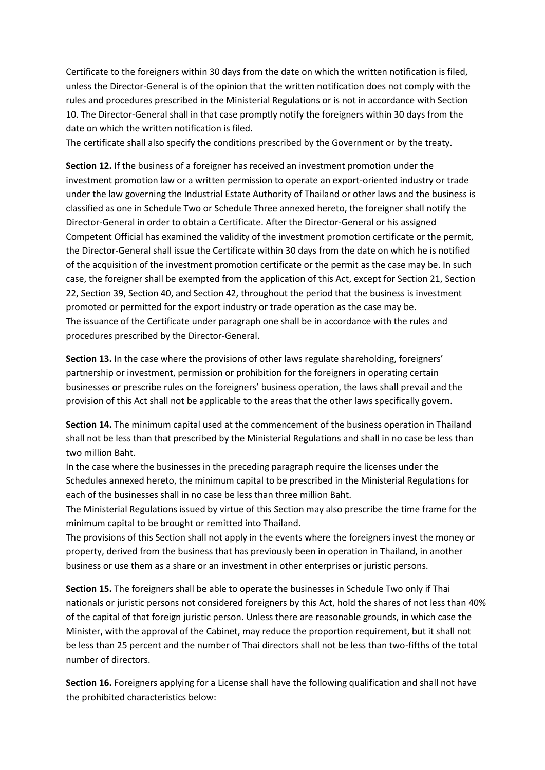Certificate to the foreigners within 30 days from the date on which the written notification is filed, unless the Director-General is of the opinion that the written notification does not comply with the rules and procedures prescribed in the Ministerial Regulations or is not in accordance with Section 10. The Director-General shall in that case promptly notify the foreigners within 30 days from the date on which the written notification is filed.

The certificate shall also specify the conditions prescribed by the Government or by the treaty.

**Section 12.** If the business of a foreigner has received an investment promotion under the investment promotion law or a written permission to operate an export-oriented industry or trade under the law governing the Industrial Estate Authority of Thailand or other laws and the business is classified as one in Schedule Two or Schedule Three annexed hereto, the foreigner shall notify the Director-General in order to obtain a Certificate. After the Director-General or his assigned Competent Official has examined the validity of the investment promotion certificate or the permit, the Director-General shall issue the Certificate within 30 days from the date on which he is notified of the acquisition of the investment promotion certificate or the permit as the case may be. In such case, the foreigner shall be exempted from the application of this Act, except for Section 21, Section 22, Section 39, Section 40, and Section 42, throughout the period that the business is investment promoted or permitted for the export industry or trade operation as the case may be. The issuance of the Certificate under paragraph one shall be in accordance with the rules and procedures prescribed by the Director-General.

**Section 13.** In the case where the provisions of other laws regulate shareholding, foreigners' partnership or investment, permission or prohibition for the foreigners in operating certain businesses or prescribe rules on the foreigners' business operation, the laws shall prevail and the provision of this Act shall not be applicable to the areas that the other laws specifically govern.

**Section 14.** The minimum capital used at the commencement of the business operation in Thailand shall not be less than that prescribed by the Ministerial Regulations and shall in no case be less than two million Baht.

In the case where the businesses in the preceding paragraph require the licenses under the Schedules annexed hereto, the minimum capital to be prescribed in the Ministerial Regulations for each of the businesses shall in no case be less than three million Baht.

The Ministerial Regulations issued by virtue of this Section may also prescribe the time frame for the minimum capital to be brought or remitted into Thailand.

The provisions of this Section shall not apply in the events where the foreigners invest the money or property, derived from the business that has previously been in operation in Thailand, in another business or use them as a share or an investment in other enterprises or juristic persons.

**Section 15.** The foreigners shall be able to operate the businesses in Schedule Two only if Thai nationals or juristic persons not considered foreigners by this Act, hold the shares of not less than 40% of the capital of that foreign juristic person. Unless there are reasonable grounds, in which case the Minister, with the approval of the Cabinet, may reduce the proportion requirement, but it shall not be less than 25 percent and the number of Thai directors shall not be less than two-fifths of the total number of directors.

**Section 16.** Foreigners applying for a License shall have the following qualification and shall not have the prohibited characteristics below: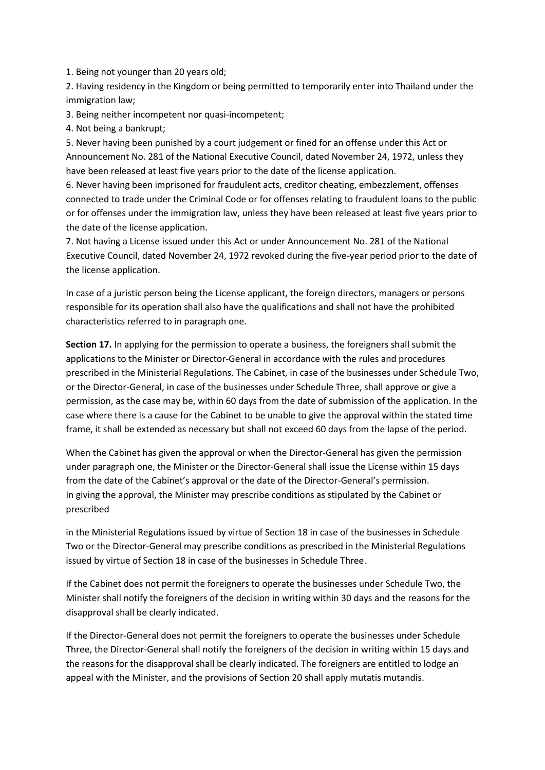1. Being not younger than 20 years old;

2. Having residency in the Kingdom or being permitted to temporarily enter into Thailand under the immigration law;

3. Being neither incompetent nor quasi-incompetent;

4. Not being a bankrupt;

5. Never having been punished by a court judgement or fined for an offense under this Act or Announcement No. 281 of the National Executive Council, dated November 24, 1972, unless they have been released at least five years prior to the date of the license application.

6. Never having been imprisoned for fraudulent acts, creditor cheating, embezzlement, offenses connected to trade under the Criminal Code or for offenses relating to fraudulent loans to the public or for offenses under the immigration law, unless they have been released at least five years prior to the date of the license application.

7. Not having a License issued under this Act or under Announcement No. 281 of the National Executive Council, dated November 24, 1972 revoked during the five-year period prior to the date of the license application.

In case of a juristic person being the License applicant, the foreign directors, managers or persons responsible for its operation shall also have the qualifications and shall not have the prohibited characteristics referred to in paragraph one.

**Section 17.** In applying for the permission to operate a business, the foreigners shall submit the applications to the Minister or Director-General in accordance with the rules and procedures prescribed in the Ministerial Regulations. The Cabinet, in case of the businesses under Schedule Two, or the Director-General, in case of the businesses under Schedule Three, shall approve or give a permission, as the case may be, within 60 days from the date of submission of the application. In the case where there is a cause for the Cabinet to be unable to give the approval within the stated time frame, it shall be extended as necessary but shall not exceed 60 days from the lapse of the period.

When the Cabinet has given the approval or when the Director-General has given the permission under paragraph one, the Minister or the Director-General shall issue the License within 15 days from the date of the Cabinet's approval or the date of the Director-General's permission. In giving the approval, the Minister may prescribe conditions as stipulated by the Cabinet or prescribed

in the Ministerial Regulations issued by virtue of Section 18 in case of the businesses in Schedule Two or the Director-General may prescribe conditions as prescribed in the Ministerial Regulations issued by virtue of Section 18 in case of the businesses in Schedule Three.

If the Cabinet does not permit the foreigners to operate the businesses under Schedule Two, the Minister shall notify the foreigners of the decision in writing within 30 days and the reasons for the disapproval shall be clearly indicated.

If the Director-General does not permit the foreigners to operate the businesses under Schedule Three, the Director-General shall notify the foreigners of the decision in writing within 15 days and the reasons for the disapproval shall be clearly indicated. The foreigners are entitled to lodge an appeal with the Minister, and the provisions of Section 20 shall apply mutatis mutandis.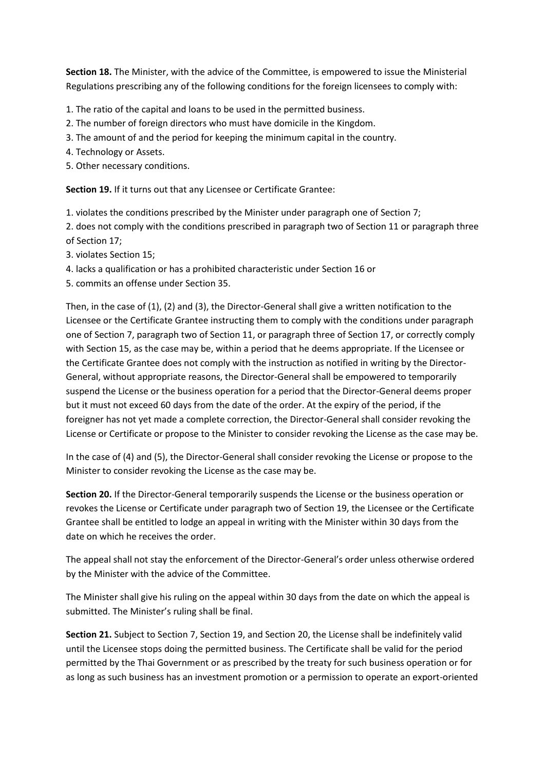**Section 18.** The Minister, with the advice of the Committee, is empowered to issue the Ministerial Regulations prescribing any of the following conditions for the foreign licensees to comply with:

- 1. The ratio of the capital and loans to be used in the permitted business.
- 2. The number of foreign directors who must have domicile in the Kingdom.
- 3. The amount of and the period for keeping the minimum capital in the country.
- 4. Technology or Assets.
- 5. Other necessary conditions.

**Section 19.** If it turns out that any Licensee or Certificate Grantee:

1. violates the conditions prescribed by the Minister under paragraph one of Section 7;

2. does not comply with the conditions prescribed in paragraph two of Section 11 or paragraph three of Section 17;

- 3. violates Section 15;
- 4. lacks a qualification or has a prohibited characteristic under Section 16 or
- 5. commits an offense under Section 35.

Then, in the case of (1), (2) and (3), the Director-General shall give a written notification to the Licensee or the Certificate Grantee instructing them to comply with the conditions under paragraph one of Section 7, paragraph two of Section 11, or paragraph three of Section 17, or correctly comply with Section 15, as the case may be, within a period that he deems appropriate. If the Licensee or the Certificate Grantee does not comply with the instruction as notified in writing by the Director-General, without appropriate reasons, the Director-General shall be empowered to temporarily suspend the License or the business operation for a period that the Director-General deems proper but it must not exceed 60 days from the date of the order. At the expiry of the period, if the foreigner has not yet made a complete correction, the Director-General shall consider revoking the License or Certificate or propose to the Minister to consider revoking the License as the case may be.

In the case of (4) and (5), the Director-General shall consider revoking the License or propose to the Minister to consider revoking the License as the case may be.

**Section 20.** If the Director-General temporarily suspends the License or the business operation or revokes the License or Certificate under paragraph two of Section 19, the Licensee or the Certificate Grantee shall be entitled to lodge an appeal in writing with the Minister within 30 days from the date on which he receives the order.

The appeal shall not stay the enforcement of the Director-General's order unless otherwise ordered by the Minister with the advice of the Committee.

The Minister shall give his ruling on the appeal within 30 days from the date on which the appeal is submitted. The Minister's ruling shall be final.

**Section 21.** Subject to Section 7, Section 19, and Section 20, the License shall be indefinitely valid until the Licensee stops doing the permitted business. The Certificate shall be valid for the period permitted by the Thai Government or as prescribed by the treaty for such business operation or for as long as such business has an investment promotion or a permission to operate an export-oriented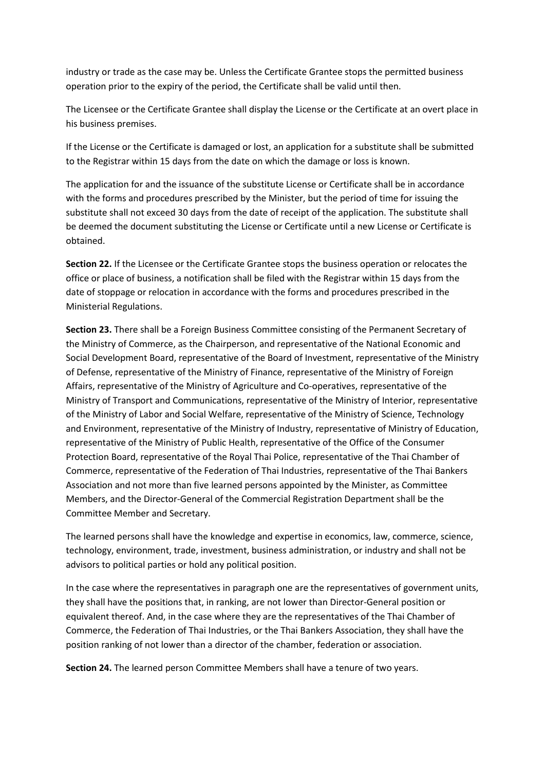industry or trade as the case may be. Unless the Certificate Grantee stops the permitted business operation prior to the expiry of the period, the Certificate shall be valid until then.

The Licensee or the Certificate Grantee shall display the License or the Certificate at an overt place in his business premises.

If the License or the Certificate is damaged or lost, an application for a substitute shall be submitted to the Registrar within 15 days from the date on which the damage or loss is known.

The application for and the issuance of the substitute License or Certificate shall be in accordance with the forms and procedures prescribed by the Minister, but the period of time for issuing the substitute shall not exceed 30 days from the date of receipt of the application. The substitute shall be deemed the document substituting the License or Certificate until a new License or Certificate is obtained.

**Section 22.** If the Licensee or the Certificate Grantee stops the business operation or relocates the office or place of business, a notification shall be filed with the Registrar within 15 days from the date of stoppage or relocation in accordance with the forms and procedures prescribed in the Ministerial Regulations.

**Section 23.** There shall be a Foreign Business Committee consisting of the Permanent Secretary of the Ministry of Commerce, as the Chairperson, and representative of the National Economic and Social Development Board, representative of the Board of Investment, representative of the Ministry of Defense, representative of the Ministry of Finance, representative of the Ministry of Foreign Affairs, representative of the Ministry of Agriculture and Co-operatives, representative of the Ministry of Transport and Communications, representative of the Ministry of Interior, representative of the Ministry of Labor and Social Welfare, representative of the Ministry of Science, Technology and Environment, representative of the Ministry of Industry, representative of Ministry of Education, representative of the Ministry of Public Health, representative of the Office of the Consumer Protection Board, representative of the Royal Thai Police, representative of the Thai Chamber of Commerce, representative of the Federation of Thai Industries, representative of the Thai Bankers Association and not more than five learned persons appointed by the Minister, as Committee Members, and the Director-General of the Commercial Registration Department shall be the Committee Member and Secretary.

The learned persons shall have the knowledge and expertise in economics, law, commerce, science, technology, environment, trade, investment, business administration, or industry and shall not be advisors to political parties or hold any political position.

In the case where the representatives in paragraph one are the representatives of government units, they shall have the positions that, in ranking, are not lower than Director-General position or equivalent thereof. And, in the case where they are the representatives of the Thai Chamber of Commerce, the Federation of Thai Industries, or the Thai Bankers Association, they shall have the position ranking of not lower than a director of the chamber, federation or association.

**Section 24.** The learned person Committee Members shall have a tenure of two years.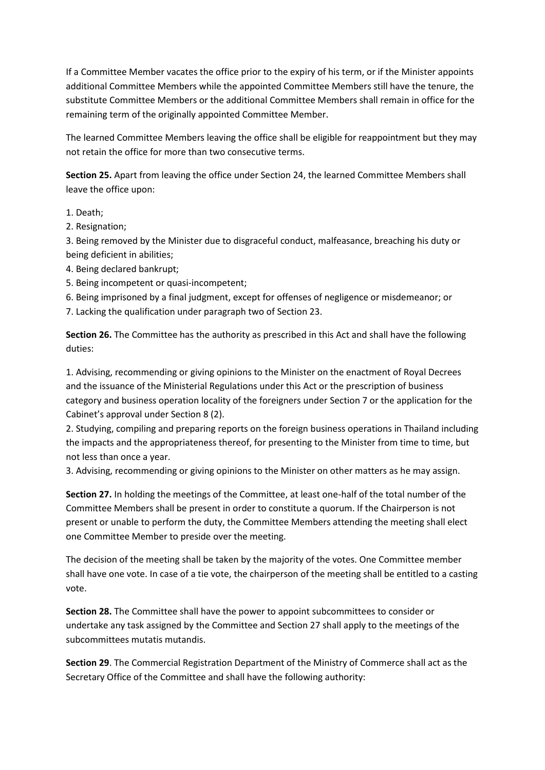If a Committee Member vacates the office prior to the expiry of his term, or if the Minister appoints additional Committee Members while the appointed Committee Members still have the tenure, the substitute Committee Members or the additional Committee Members shall remain in office for the remaining term of the originally appointed Committee Member.

The learned Committee Members leaving the office shall be eligible for reappointment but they may not retain the office for more than two consecutive terms.

**Section 25.** Apart from leaving the office under Section 24, the learned Committee Members shall leave the office upon:

1. Death;

2. Resignation;

3. Being removed by the Minister due to disgraceful conduct, malfeasance, breaching his duty or being deficient in abilities;

- 4. Being declared bankrupt;
- 5. Being incompetent or quasi-incompetent;

6. Being imprisoned by a final judgment, except for offenses of negligence or misdemeanor; or

7. Lacking the qualification under paragraph two of Section 23.

**Section 26.** The Committee has the authority as prescribed in this Act and shall have the following duties:

1. Advising, recommending or giving opinions to the Minister on the enactment of Royal Decrees and the issuance of the Ministerial Regulations under this Act or the prescription of business category and business operation locality of the foreigners under Section 7 or the application for the Cabinet's approval under Section 8 (2).

2. Studying, compiling and preparing reports on the foreign business operations in Thailand including the impacts and the appropriateness thereof, for presenting to the Minister from time to time, but not less than once a year.

3. Advising, recommending or giving opinions to the Minister on other matters as he may assign.

**Section 27.** In holding the meetings of the Committee, at least one-half of the total number of the Committee Members shall be present in order to constitute a quorum. If the Chairperson is not present or unable to perform the duty, the Committee Members attending the meeting shall elect one Committee Member to preside over the meeting.

The decision of the meeting shall be taken by the majority of the votes. One Committee member shall have one vote. In case of a tie vote, the chairperson of the meeting shall be entitled to a casting vote.

**Section 28.** The Committee shall have the power to appoint subcommittees to consider or undertake any task assigned by the Committee and Section 27 shall apply to the meetings of the subcommittees mutatis mutandis.

**Section 29**. The Commercial Registration Department of the Ministry of Commerce shall act as the Secretary Office of the Committee and shall have the following authority: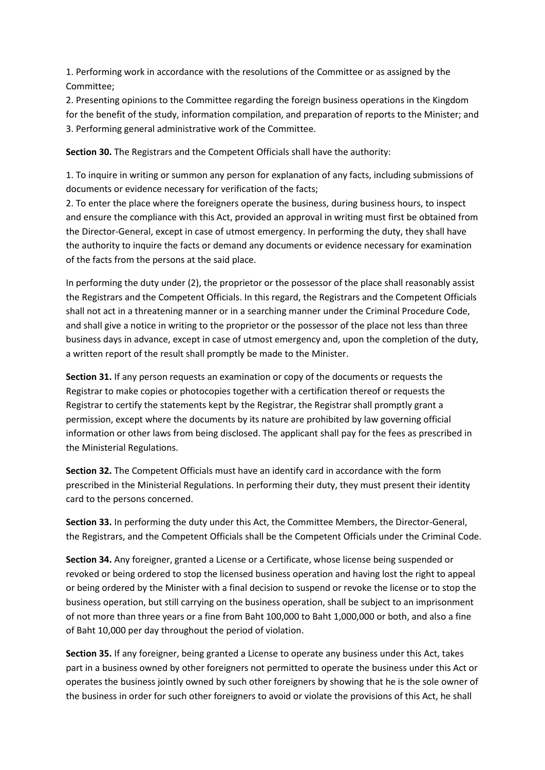1. Performing work in accordance with the resolutions of the Committee or as assigned by the Committee;

2. Presenting opinions to the Committee regarding the foreign business operations in the Kingdom for the benefit of the study, information compilation, and preparation of reports to the Minister; and 3. Performing general administrative work of the Committee.

**Section 30.** The Registrars and the Competent Officials shall have the authority:

1. To inquire in writing or summon any person for explanation of any facts, including submissions of documents or evidence necessary for verification of the facts;

2. To enter the place where the foreigners operate the business, during business hours, to inspect and ensure the compliance with this Act, provided an approval in writing must first be obtained from the Director-General, except in case of utmost emergency. In performing the duty, they shall have the authority to inquire the facts or demand any documents or evidence necessary for examination of the facts from the persons at the said place.

In performing the duty under (2), the proprietor or the possessor of the place shall reasonably assist the Registrars and the Competent Officials. In this regard, the Registrars and the Competent Officials shall not act in a threatening manner or in a searching manner under the Criminal Procedure Code, and shall give a notice in writing to the proprietor or the possessor of the place not less than three business days in advance, except in case of utmost emergency and, upon the completion of the duty, a written report of the result shall promptly be made to the Minister.

**Section 31.** If any person requests an examination or copy of the documents or requests the Registrar to make copies or photocopies together with a certification thereof or requests the Registrar to certify the statements kept by the Registrar, the Registrar shall promptly grant a permission, except where the documents by its nature are prohibited by law governing official information or other laws from being disclosed. The applicant shall pay for the fees as prescribed in the Ministerial Regulations.

**Section 32.** The Competent Officials must have an identify card in accordance with the form prescribed in the Ministerial Regulations. In performing their duty, they must present their identity card to the persons concerned.

**Section 33.** In performing the duty under this Act, the Committee Members, the Director-General, the Registrars, and the Competent Officials shall be the Competent Officials under the Criminal Code.

**Section 34.** Any foreigner, granted a License or a Certificate, whose license being suspended or revoked or being ordered to stop the licensed business operation and having lost the right to appeal or being ordered by the Minister with a final decision to suspend or revoke the license or to stop the business operation, but still carrying on the business operation, shall be subject to an imprisonment of not more than three years or a fine from Baht 100,000 to Baht 1,000,000 or both, and also a fine of Baht 10,000 per day throughout the period of violation.

**Section 35.** If any foreigner, being granted a License to operate any business under this Act, takes part in a business owned by other foreigners not permitted to operate the business under this Act or operates the business jointly owned by such other foreigners by showing that he is the sole owner of the business in order for such other foreigners to avoid or violate the provisions of this Act, he shall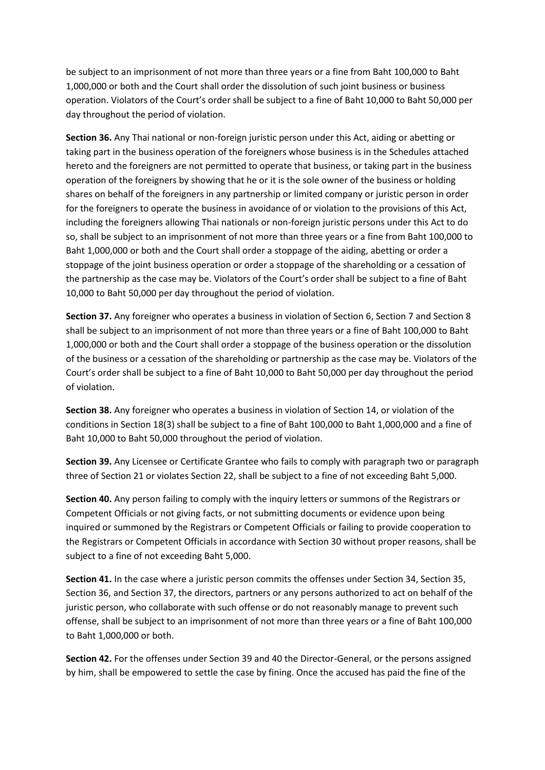be subject to an imprisonment of not more than three years or a fine from Baht 100,000 to Baht 1,000,000 or both and the Court shall order the dissolution of such joint business or business operation. Violators of the Court's order shall be subject to a fine of Baht 10,000 to Baht 50,000 per day throughout the period of violation.

**Section 36.** Any Thai national or non-foreign juristic person under this Act, aiding or abetting or taking part in the business operation of the foreigners whose business is in the Schedules attached hereto and the foreigners are not permitted to operate that business, or taking part in the business operation of the foreigners by showing that he or it is the sole owner of the business or holding shares on behalf of the foreigners in any partnership or limited company or juristic person in order for the foreigners to operate the business in avoidance of or violation to the provisions of this Act, including the foreigners allowing Thai nationals or non-foreign juristic persons under this Act to do so, shall be subject to an imprisonment of not more than three years or a fine from Baht 100,000 to Baht 1,000,000 or both and the Court shall order a stoppage of the aiding, abetting or order a stoppage of the joint business operation or order a stoppage of the shareholding or a cessation of the partnership as the case may be. Violators of the Court's order shall be subject to a fine of Baht 10,000 to Baht 50,000 per day throughout the period of violation.

**Section 37.** Any foreigner who operates a business in violation of Section 6, Section 7 and Section 8 shall be subject to an imprisonment of not more than three years or a fine of Baht 100,000 to Baht 1,000,000 or both and the Court shall order a stoppage of the business operation or the dissolution of the business or a cessation of the shareholding or partnership as the case may be. Violators of the Court's order shall be subject to a fine of Baht 10,000 to Baht 50,000 per day throughout the period of violation.

**Section 38.** Any foreigner who operates a business in violation of Section 14, or violation of the conditions in Section 18(3) shall be subject to a fine of Baht 100,000 to Baht 1,000,000 and a fine of Baht 10,000 to Baht 50,000 throughout the period of violation.

**Section 39.** Any Licensee or Certificate Grantee who fails to comply with paragraph two or paragraph three of Section 21 or violates Section 22, shall be subject to a fine of not exceeding Baht 5,000.

**Section 40.** Any person failing to comply with the inquiry letters or summons of the Registrars or Competent Officials or not giving facts, or not submitting documents or evidence upon being inquired or summoned by the Registrars or Competent Officials or failing to provide cooperation to the Registrars or Competent Officials in accordance with Section 30 without proper reasons, shall be subject to a fine of not exceeding Baht 5,000.

**Section 41.** In the case where a juristic person commits the offenses under Section 34, Section 35, Section 36, and Section 37, the directors, partners or any persons authorized to act on behalf of the juristic person, who collaborate with such offense or do not reasonably manage to prevent such offense, shall be subject to an imprisonment of not more than three years or a fine of Baht 100,000 to Baht 1,000,000 or both.

**Section 42.** For the offenses under Section 39 and 40 the Director-General, or the persons assigned by him, shall be empowered to settle the case by fining. Once the accused has paid the fine of the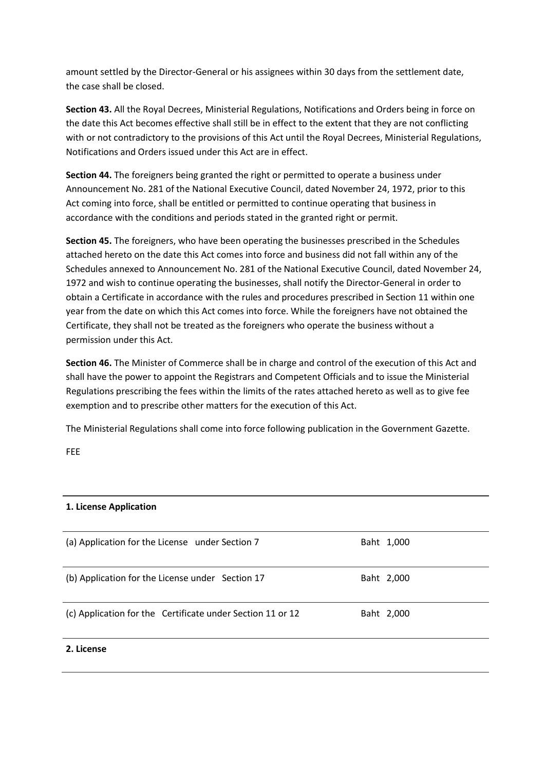amount settled by the Director-General or his assignees within 30 days from the settlement date, the case shall be closed.

**Section 43.** All the Royal Decrees, Ministerial Regulations, Notifications and Orders being in force on the date this Act becomes effective shall still be in effect to the extent that they are not conflicting with or not contradictory to the provisions of this Act until the Royal Decrees, Ministerial Regulations, Notifications and Orders issued under this Act are in effect.

**Section 44.** The foreigners being granted the right or permitted to operate a business under Announcement No. 281 of the National Executive Council, dated November 24, 1972, prior to this Act coming into force, shall be entitled or permitted to continue operating that business in accordance with the conditions and periods stated in the granted right or permit.

**Section 45.** The foreigners, who have been operating the businesses prescribed in the Schedules attached hereto on the date this Act comes into force and business did not fall within any of the Schedules annexed to Announcement No. 281 of the National Executive Council, dated November 24, 1972 and wish to continue operating the businesses, shall notify the Director-General in order to obtain a Certificate in accordance with the rules and procedures prescribed in Section 11 within one year from the date on which this Act comes into force. While the foreigners have not obtained the Certificate, they shall not be treated as the foreigners who operate the business without a permission under this Act.

**Section 46.** The Minister of Commerce shall be in charge and control of the execution of this Act and shall have the power to appoint the Registrars and Competent Officials and to issue the Ministerial Regulations prescribing the fees within the limits of the rates attached hereto as well as to give fee exemption and to prescribe other matters for the execution of this Act.

The Ministerial Regulations shall come into force following publication in the Government Gazette.

FEE

| 1. License Application                                     |            |  |
|------------------------------------------------------------|------------|--|
| (a) Application for the License under Section 7            | Baht 1,000 |  |
| (b) Application for the License under Section 17           | Baht 2,000 |  |
| (c) Application for the Certificate under Section 11 or 12 | Baht 2,000 |  |
| 2. License                                                 |            |  |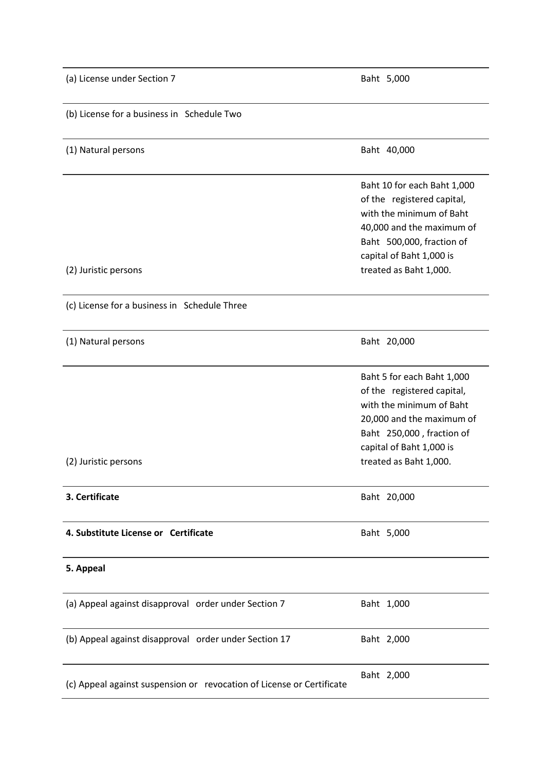| (a) License under Section 7                                           | Baht 5,000                                                                                                                                                                                            |  |
|-----------------------------------------------------------------------|-------------------------------------------------------------------------------------------------------------------------------------------------------------------------------------------------------|--|
| (b) License for a business in Schedule Two                            |                                                                                                                                                                                                       |  |
| (1) Natural persons                                                   | Baht 40,000                                                                                                                                                                                           |  |
| (2) Juristic persons                                                  | Baht 10 for each Baht 1,000<br>of the registered capital,<br>with the minimum of Baht<br>40,000 and the maximum of<br>Baht 500,000, fraction of<br>capital of Baht 1,000 is<br>treated as Baht 1,000. |  |
| (c) License for a business in Schedule Three                          |                                                                                                                                                                                                       |  |
| (1) Natural persons                                                   | Baht 20,000                                                                                                                                                                                           |  |
| (2) Juristic persons                                                  | Baht 5 for each Baht 1,000<br>of the registered capital,<br>with the minimum of Baht<br>20,000 and the maximum of<br>Baht 250,000, fraction of<br>capital of Baht 1,000 is<br>treated as Baht 1,000.  |  |
| 3. Certificate                                                        | Baht 20,000                                                                                                                                                                                           |  |
| 4. Substitute License or Certificate                                  | Baht 5,000                                                                                                                                                                                            |  |
| 5. Appeal                                                             |                                                                                                                                                                                                       |  |
| (a) Appeal against disapproval order under Section 7                  | Baht 1,000                                                                                                                                                                                            |  |
| (b) Appeal against disapproval order under Section 17                 | Baht 2,000                                                                                                                                                                                            |  |
| (c) Appeal against suspension or revocation of License or Certificate | Baht 2,000                                                                                                                                                                                            |  |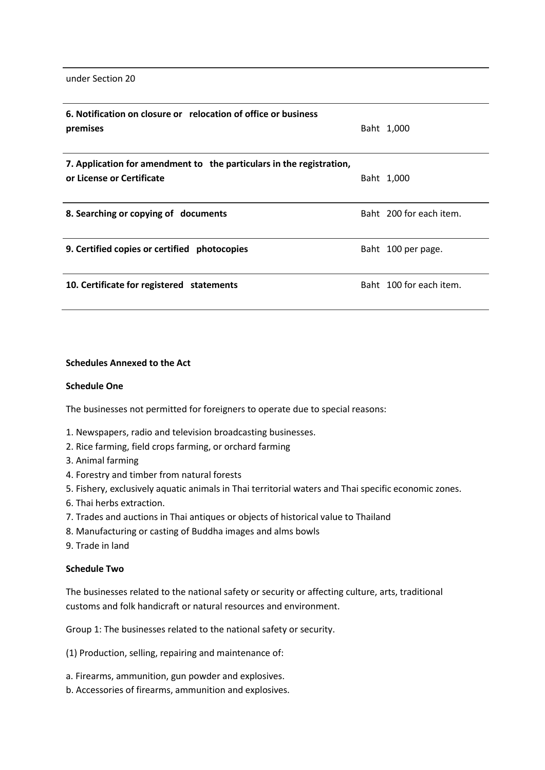under Section 20

| 6. Notification on closure or relocation of office or business<br>premises                        | Baht 1,000              |
|---------------------------------------------------------------------------------------------------|-------------------------|
| 7. Application for amendment to the particulars in the registration,<br>or License or Certificate | Baht 1,000              |
| 8. Searching or copying of documents                                                              | Baht 200 for each item. |
| 9. Certified copies or certified photocopies                                                      | Baht 100 per page.      |
| 10. Certificate for registered statements                                                         | Baht 100 for each item. |

#### **Schedules Annexed to the Act**

#### **Schedule One**

The businesses not permitted for foreigners to operate due to special reasons:

- 1. Newspapers, radio and television broadcasting businesses.
- 2. Rice farming, field crops farming, or orchard farming
- 3. Animal farming
- 4. Forestry and timber from natural forests
- 5. Fishery, exclusively aquatic animals in Thai territorial waters and Thai specific economic zones.
- 6. Thai herbs extraction.
- 7. Trades and auctions in Thai antiques or objects of historical value to Thailand
- 8. Manufacturing or casting of Buddha images and alms bowls
- 9. Trade in land

## **Schedule Two**

The businesses related to the national safety or security or affecting culture, arts, traditional customs and folk handicraft or natural resources and environment.

Group 1: The businesses related to the national safety or security.

(1) Production, selling, repairing and maintenance of:

- a. Firearms, ammunition, gun powder and explosives.
- b. Accessories of firearms, ammunition and explosives.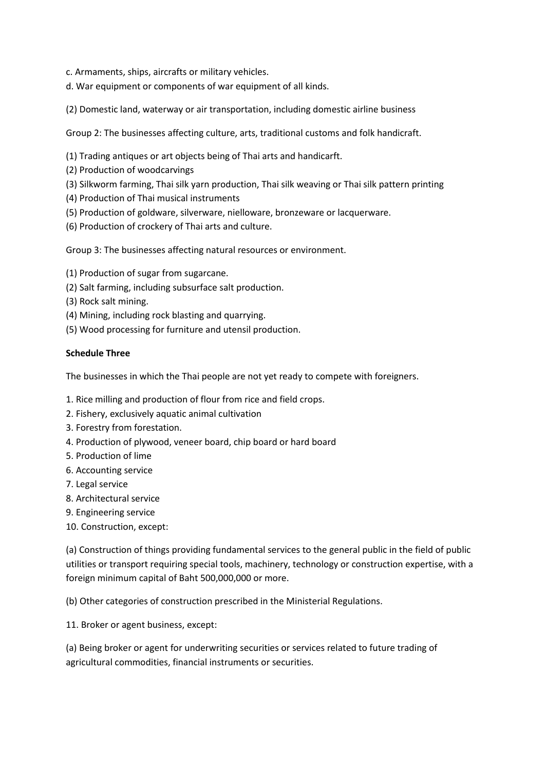- c. Armaments, ships, aircrafts or military vehicles.
- d. War equipment or components of war equipment of all kinds.
- (2) Domestic land, waterway or air transportation, including domestic airline business

Group 2: The businesses affecting culture, arts, traditional customs and folk handicraft.

- (1) Trading antiques or art objects being of Thai arts and handicarft.
- (2) Production of woodcarvings
- (3) Silkworm farming, Thai silk yarn production, Thai silk weaving or Thai silk pattern printing
- (4) Production of Thai musical instruments
- (5) Production of goldware, silverware, nielloware, bronzeware or lacquerware.
- (6) Production of crockery of Thai arts and culture.

Group 3: The businesses affecting natural resources or environment.

- (1) Production of sugar from sugarcane.
- (2) Salt farming, including subsurface salt production.
- (3) Rock salt mining.
- (4) Mining, including rock blasting and quarrying.
- (5) Wood processing for furniture and utensil production.

## **Schedule Three**

The businesses in which the Thai people are not yet ready to compete with foreigners.

- 1. Rice milling and production of flour from rice and field crops.
- 2. Fishery, exclusively aquatic animal cultivation
- 3. Forestry from forestation.
- 4. Production of plywood, veneer board, chip board or hard board
- 5. Production of lime
- 6. Accounting service
- 7. Legal service
- 8. Architectural service
- 9. Engineering service
- 10. Construction, except:

(a) Construction of things providing fundamental services to the general public in the field of public utilities or transport requiring special tools, machinery, technology or construction expertise, with a foreign minimum capital of Baht 500,000,000 or more.

(b) Other categories of construction prescribed in the Ministerial Regulations.

11. Broker or agent business, except:

(a) Being broker or agent for underwriting securities or services related to future trading of agricultural commodities, financial instruments or securities.